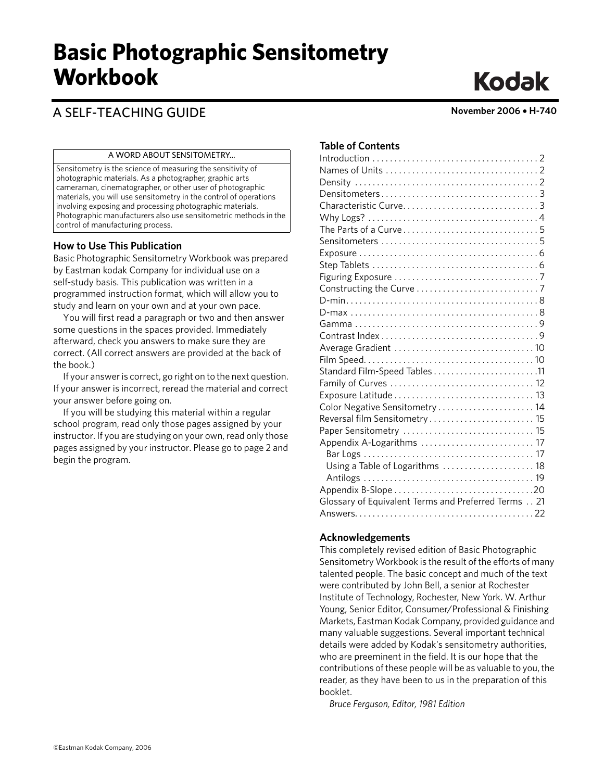# **Basic Photographic Sensitometry Workbook**

## A SELF-TEACHING GUIDE **November 2006** • **H-740**

#### A WORD ABOUT SENSITOMETRY...

Sensitometry is the science of measuring the sensitivity of photographic materials. As a photographer, graphic arts cameraman, cinematographer, or other user of photographic materials, you will use sensitometry in the control of operations involving exposing and processing photographic materials. Photographic manufacturers also use sensitometric methods in the control of manufacturing process.

#### **How to Use This Publication**

Basic Photographic Sensitometry Workbook was prepared by Eastman kodak Company for individual use on a self-study basis. This publication was written in a programmed instruction format, which will allow you to study and learn on your own and at your own pace.

You will first read a paragraph or two and then answer some questions in the spaces provided. Immediately afterward, check you answers to make sure they are correct. (All correct answers are provided at the back of the book.)

If your answer is correct, go right on to the next question. If your answer is incorrect, reread the material and correct your answer before going on.

If you will be studying this material within a regular school program, read only those pages assigned by your instructor. If you are studying on your own, read only those pages assigned by your instructor. Please go to page 2 and begin the program.

#### **Table of Contents**

| Color Negative Sensitometry  14                     |  |
|-----------------------------------------------------|--|
| Reversal film Sensitometry 15                       |  |
|                                                     |  |
|                                                     |  |
|                                                     |  |
| Using a Table of Logarithms  18                     |  |
|                                                     |  |
|                                                     |  |
| Glossary of Equivalent Terms and Preferred Terms 21 |  |
|                                                     |  |
|                                                     |  |

#### **Acknowledgements**

This completely revised edition of Basic Photographic Sensitometry Workbook is the result of the efforts of many talented people. The basic concept and much of the text were contributed by John Bell, a senior at Rochester Institute of Technology, Rochester, New York. W. Arthur Young, Senior Editor, Consumer/Professional & Finishing Markets, Eastman Kodak Company, provided guidance and many valuable suggestions. Several important technical details were added by Kodak's sensitometry authorities, who are preeminent in the field. It is our hope that the contributions of these people will be as valuable to you, the reader, as they have been to us in the preparation of this booklet.

*Bruce Ferguson, Editor, 1981 Edition*

# **Kodak**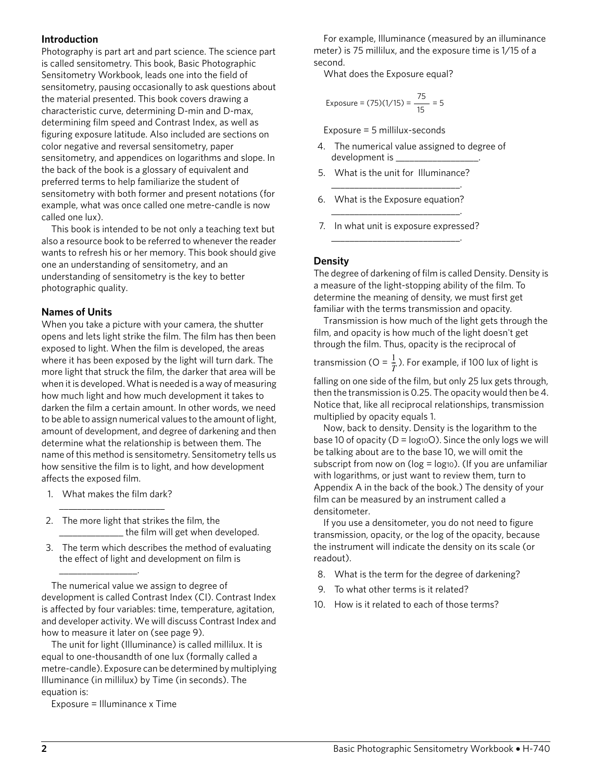#### **Introduction**

Photography is part art and part science. The science part is called sensitometry. This book, Basic Photographic Sensitometry Workbook, leads one into the field of sensitometry, pausing occasionally to ask questions about the material presented. This book covers drawing a characteristic curve, determining D-min and D-max, determining film speed and Contrast Index, as well as figuring exposure latitude. Also included are sections on color negative and reversal sensitometry, paper sensitometry, and appendices on logarithms and slope. In the back of the book is a glossary of equivalent and preferred terms to help familiarize the student of sensitometry with both former and present notations (for example, what was once called one metre-candle is now called one lux).

This book is intended to be not only a teaching text but also a resource book to be referred to whenever the reader wants to refresh his or her memory. This book should give one an understanding of sensitometry, and an understanding of sensitometry is the key to better photographic quality.

#### **Names of Units**

When you take a picture with your camera, the shutter opens and lets light strike the film. The film has then been exposed to light. When the film is developed, the areas where it has been exposed by the light will turn dark. The more light that struck the film, the darker that area will be when it is developed. What is needed is a way of measuring how much light and how much development it takes to darken the film a certain amount. In other words, we need to be able to assign numerical values to the amount of light, amount of development, and degree of darkening and then determine what the relationship is between them. The name of this method is sensitometry. Sensitometry tells us how sensitive the film is to light, and how development affects the exposed film.

1. What makes the film dark? \_\_\_\_\_\_\_\_\_\_\_\_\_\_\_\_\_\_\_\_\_\_\_

 $\overline{\phantom{a}}$  , where  $\overline{\phantom{a}}$ 

- 2. The more light that strikes the film, the \_\_\_\_\_\_\_\_\_\_\_\_\_\_ the film will get when developed.
- 3. The term which describes the method of evaluating the effect of light and development on film is

The numerical value we assign to degree of development is called Contrast Index (CI). Contrast Index is affected by four variables: time, temperature, agitation, and developer activity. We will discuss Contrast Index and how to measure it later on (see page 9).

The unit for light (Illuminance) is called millilux. It is equal to one-thousandth of one lux (formally called a metre-candle). Exposure can be determined by multiplying Illuminance (in millilux) by Time (in seconds). The equation is:

Exposure = Illuminance x Time

For example, Illuminance (measured by an illuminance meter) is 75 millilux, and the exposure time is 1/15 of a second.

What does the Exposure equal?

$$
Exposure = (75)(1/15) = \frac{75}{15} = 5
$$

Exposure = 5 millilux-seconds

- 4. The numerical value assigned to degree of development is \_\_\_\_\_\_\_\_\_\_\_\_\_\_\_\_\_\_.
- 5. What is the unit for Illuminance? \_\_\_\_\_\_\_\_\_\_\_\_\_\_\_\_\_\_\_\_\_\_\_\_\_\_\_\_.
- 6. What is the Exposure equation?
- \_\_\_\_\_\_\_\_\_\_\_\_\_\_\_\_\_\_\_\_\_\_\_\_\_\_\_\_. 7. In what unit is exposure expressed? \_\_\_\_\_\_\_\_\_\_\_\_\_\_\_\_\_\_\_\_\_\_\_\_\_\_\_\_.

#### **Density**

The degree of darkening of film is called Density. Density is a measure of the light-stopping ability of the film. To determine the meaning of density, we must first get familiar with the terms transmission and opacity.

Transmission is how much of the light gets through the film, and opacity is how much of the light doesn't get through the film. Thus, opacity is the reciprocal of

transmission (O =  $\frac{1}{x}$ ). For example, if 100 lux of light is  $\frac{1}{T}$ 

falling on one side of the film, but only 25 lux gets through, then the transmission is 0.25. The opacity would then be 4. Notice that, like all reciprocal relationships, transmission multiplied by opacity equals 1.

Now, back to density. Density is the logarithm to the base 10 of opacity ( $D = log_{10}O$ ). Since the only logs we will be talking about are to the base 10, we will omit the subscript from now on ( $log = log_{10}$ ). (If you are unfamiliar with logarithms, or just want to review them, turn to Appendix A in the back of the book.) The density of your film can be measured by an instrument called a densitometer.

If you use a densitometer, you do not need to figure transmission, opacity, or the log of the opacity, because the instrument will indicate the density on its scale (or readout).

- 8. What is the term for the degree of darkening?
- 9. To what other terms is it related?
- 10. How is it related to each of those terms?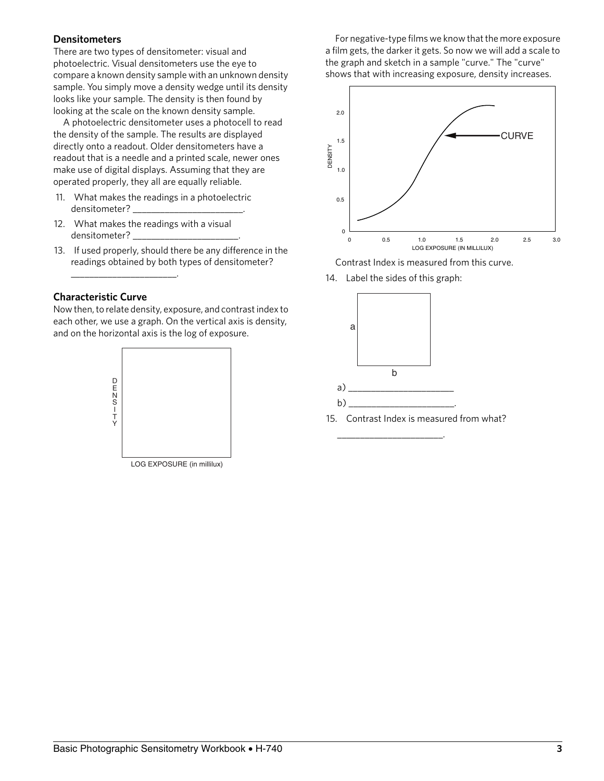#### **Densitometers**

There are two types of densitometer: visual and photoelectric. Visual densitometers use the eye to compare a known density sample with an unknown density sample. You simply move a density wedge until its density looks like your sample. The density is then found by looking at the scale on the known density sample.

A photoelectric densitometer uses a photocell to read the density of the sample. The results are displayed directly onto a readout. Older densitometers have a readout that is a needle and a printed scale, newer ones make use of digital displays. Assuming that they are operated properly, they all are equally reliable.

- 11. What makes the readings in a photoelectric densitometer? \_\_\_\_\_\_\_\_\_\_\_\_\_\_\_\_\_\_\_\_\_\_\_\_.
- 12. What makes the readings with a visual densitometer? \_\_\_\_\_\_\_\_\_\_\_\_\_\_\_\_\_\_\_\_\_\_\_.
- 13. If used properly, should there be any difference in the readings obtained by both types of densitometer?

#### **Characteristic Curve**

\_\_\_\_\_\_\_\_\_\_\_\_\_\_\_\_\_\_\_\_\_\_\_.

Now then, to relate density, exposure, and contrast index to each other, we use a graph. On the vertical axis is density, and on the horizontal axis is the log of exposure.



LOG EXPOSURE (in millilux)

For negative-type films we know that the more exposure a film gets, the darker it gets. So now we will add a scale to the graph and sketch in a sample "curve." The "curve" shows that with increasing exposure, density increases.



Contrast Index is measured from this curve.

14. Label the sides of this graph:



\_\_\_\_\_\_\_\_\_\_\_\_\_\_\_\_\_\_\_\_\_\_\_.

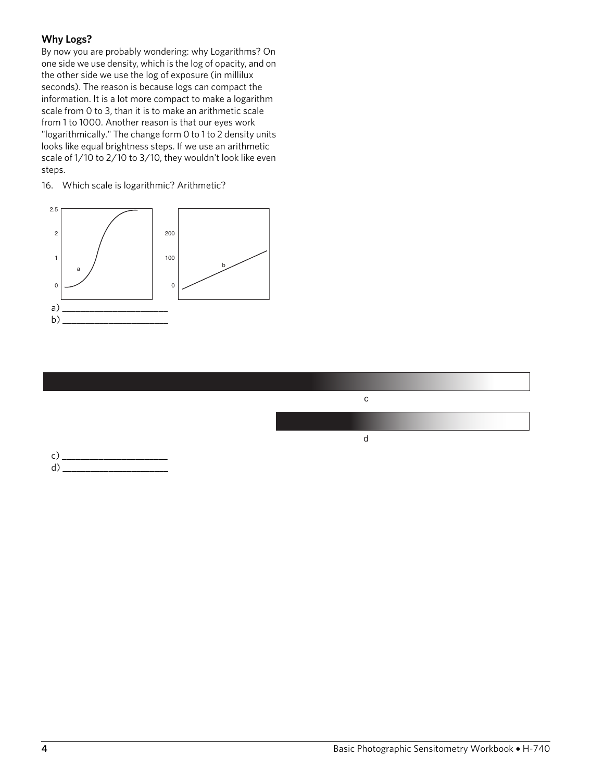#### **Why Logs?**

By now you are probably wondering: why Logarithms? On one side we use density, which is the log of opacity, and on the other side we use the log of exposure (in millilux seconds). The reason is because logs can compact the information. It is a lot more compact to make a logarithm scale from 0 to 3, than it is to make an arithmetic scale from 1 to 1000. Another reason is that our eyes work "logarithmically." The change form 0 to 1 to 2 density units looks like equal brightness steps. If we use an arithmetic scale of 1/10 to 2/10 to 3/10, they wouldn't look like even steps.

16. Which scale is logarithmic? Arithmetic?





 $d) \xrightarrow{d}$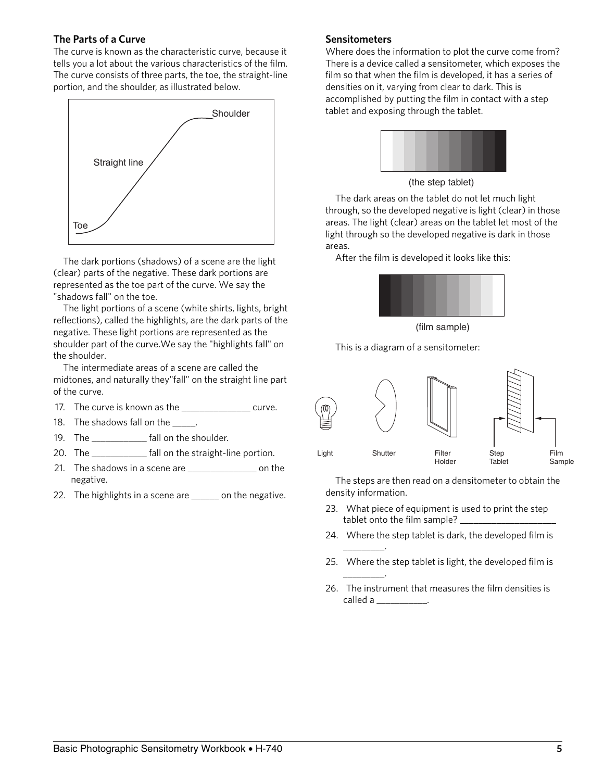#### **The Parts of a Curve**

The curve is known as the characteristic curve, because it tells you a lot about the various characteristics of the film. The curve consists of three parts, the toe, the straight-line portion, and the shoulder, as illustrated below.



The dark portions (shadows) of a scene are the light (clear) parts of the negative. These dark portions are represented as the toe part of the curve. We say the "shadows fall" on the toe.

The light portions of a scene (white shirts, lights, bright reflections), called the highlights, are the dark parts of the negative. These light portions are represented as the shoulder part of the curve.We say the "highlights fall" on the shoulder.

The intermediate areas of a scene are called the midtones, and naturally they"fall" on the straight line part of the curve.

- 17. The curve is known as the \_\_\_\_\_\_\_\_\_\_\_\_\_\_\_\_\_ curve.
- 18. The shadows fall on the \_\_\_\_\_.
- 19. The \_\_\_\_\_\_\_\_\_\_\_ fall on the shoulder.
- 20. The \_\_\_\_\_\_\_\_\_\_\_\_\_ fall on the straight-line portion.
- 21. The shadows in a scene are \_\_\_\_\_\_\_\_\_\_\_\_\_\_\_\_\_\_\_ on the negative.
- 22. The highlights in a scene are \_\_\_\_\_\_ on the negative.

#### **Sensitometers**

Where does the information to plot the curve come from? There is a device called a sensitometer, which exposes the film so that when the film is developed, it has a series of densities on it, varying from clear to dark. This is accomplished by putting the film in contact with a step tablet and exposing through the tablet.



(the step tablet)

The dark areas on the tablet do not let much light through, so the developed negative is light (clear) in those areas. The light (clear) areas on the tablet let most of the light through so the developed negative is dark in those areas.

After the film is developed it looks like this:



(film sample)

This is a diagram of a sensitometer:



The steps are then read on a densitometer to obtain the density information.

- 23. What piece of equipment is used to print the step tablet onto the film sample? \_
- 24. Where the step tablet is dark, the developed film is

\_\_\_\_\_\_\_\_\_.

\_\_\_\_\_\_\_\_\_.

- 25. Where the step tablet is light, the developed film is
- 26. The instrument that measures the film densities is called a \_\_\_\_\_\_\_\_\_\_\_.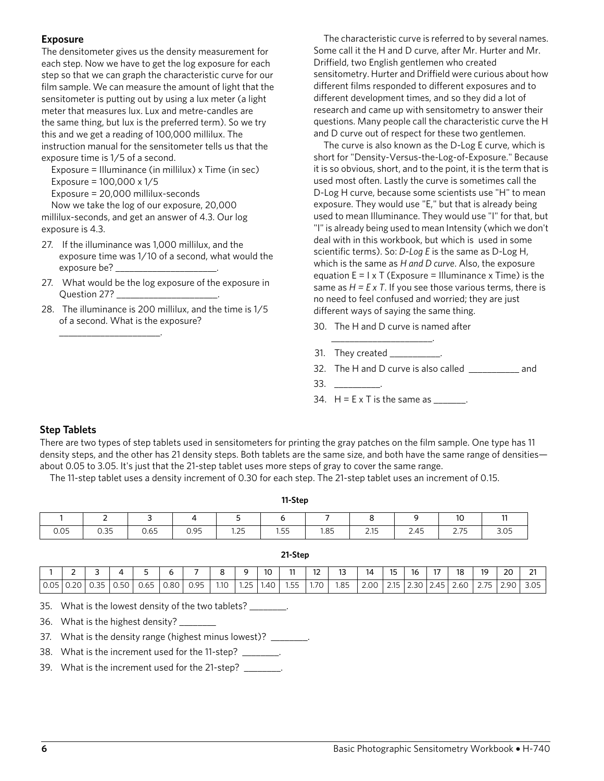#### **Exposure**

The densitometer gives us the density measurement for each step. Now we have to get the log exposure for each step so that we can graph the characteristic curve for our film sample. We can measure the amount of light that the sensitometer is putting out by using a lux meter (a light meter that measures lux. Lux and metre-candles are the same thing, but lux is the preferred term). So we try this and we get a reading of 100,000 millilux. The instruction manual for the sensitometer tells us that the exposure time is 1/5 of a second.

Exposure = Illuminance (in millilux) x Time (in sec) Exposure =  $100,000 \times 1/5$ 

Exposure = 20,000 millilux-seconds

\_\_\_\_\_\_\_\_\_\_\_\_\_\_\_\_\_\_\_\_\_\_.

Now we take the log of our exposure, 20,000 millilux-seconds, and get an answer of 4.3. Our log exposure is 4.3.

- 27. If the illuminance was 1,000 millilux, and the exposure time was 1/10 of a second, what would the exposure be?
- 27. What would be the log exposure of the exposure in Question 27? \_\_\_\_\_\_\_\_\_\_\_\_\_\_\_\_\_\_\_\_\_\_.
- 28. The illuminance is 200 millilux, and the time is 1/5 of a second. What is the exposure?

The characteristic curve is referred to by several names. Some call it the H and D curve, after Mr. Hurter and Mr. Driffield, two English gentlemen who created sensitometry. Hurter and Driffield were curious about how different films responded to different exposures and to different development times, and so they did a lot of research and came up with sensitometry to answer their questions. Many people call the characteristic curve the H and D curve out of respect for these two gentlemen.

The curve is also known as the D-Log E curve, which is short for "Density-Versus-the-Log-of-Exposure." Because it is so obvious, short, and to the point, it is the term that is used most often. Lastly the curve is sometimes call the D-Log H curve, because some scientists use "H" to mean exposure. They would use "E," but that is already being used to mean Illuminance. They would use "I" for that, but "I" is already being used to mean Intensity (which we don't deal with in this workbook, but which is used in some scientific terms). So: *D-Log E* is the same as D-Log H, which is the same as *H and D curve*. Also, the exposure equation  $E = I \times T$  (Exposure = Illuminance x Time) is the same as  $H = E \times T$ . If you see those various terms, there is no need to feel confused and worried; they are just different ways of saying the same thing.

30. The H and D curve is named after

\_\_\_\_\_\_\_\_\_\_\_\_\_\_\_\_\_\_\_\_\_\_.

- 31. They created \_\_\_\_\_\_\_\_\_\_\_\_
- 32. The H and D curve is also called \_\_\_\_\_\_\_\_\_\_\_ and
- 33. \_\_\_\_\_\_\_\_\_\_.
- 34.  $H = E \times T$  is the same as \_\_\_\_\_\_\_.

#### **Step Tablets**

There are two types of step tablets used in sensitometers for printing the gray patches on the film sample. One type has 11 density steps, and the other has 21 density steps. Both tablets are the same size, and both have the same range of densities about 0.05 to 3.05. It's just that the 21-step tablet uses more steps of gray to cover the same range.

The 11-step tablet uses a density increment of 0.30 for each step. The 21-step tablet uses an increment of 0.15.

| 11-Step |      |      |      |             |      |      |        |      |             |                |
|---------|------|------|------|-------------|------|------|--------|------|-------------|----------------|
|         | -    | ∽    |      |             |      |      | ⌒<br>c |      | 10          | $\overline{a}$ |
| 0.05    | 0.35 | 0.65 | 0.95 | 125<br>1.ZJ | 1.55 | 1.85 | 2.15   | 2.45 | 775<br>2.IJ | 3.05           |

|                          |    | ٠                   |      |                       |      | $\overline{\phantom{0}}$ |      | ◡                | 10   | $\sim$         | $\sim$  | $\sim$<br>$\sim$ | 14   | $-$<br>כו        | 16    | $\sim$                                 | 18             | 19    | 20<br>$\sim$ | $\sim$<br>∠ |
|--------------------------|----|---------------------|------|-----------------------|------|--------------------------|------|------------------|------|----------------|---------|------------------|------|------------------|-------|----------------------------------------|----------------|-------|--------------|-------------|
| $\cap$<br>$\sim$<br>U.UJ | ລດ | $\cap$<br>≺∽<br>◡.◡ | U.5U | $\sim$ $\sim$<br>U.65 | 0.80 | 0 Q5<br><b>0.20</b>      | 1.10 | 1 つに<br>.<br>___ | 1.40 | $ -$<br>רה<br> | 70<br>. | 1.85             | 2.00 | 215<br>ر ب<br>__ | ت . ت | $\overline{\phantom{0}}$<br>$\sqrt{2}$ | 2.60<br>$\sim$ | $- -$ | 9C           | 3.05        |

**21-Step**

35. What is the lowest density of the two tablets? \_\_\_\_\_\_\_\_.

36. What is the highest density? \_\_\_\_\_\_\_\_

37. What is the density range (highest minus lowest)? \_\_\_\_\_\_\_\_.

38. What is the increment used for the 11-step? \_\_\_\_\_\_\_\_.

39. What is the increment used for the 21-step? \_\_\_\_\_\_\_\_.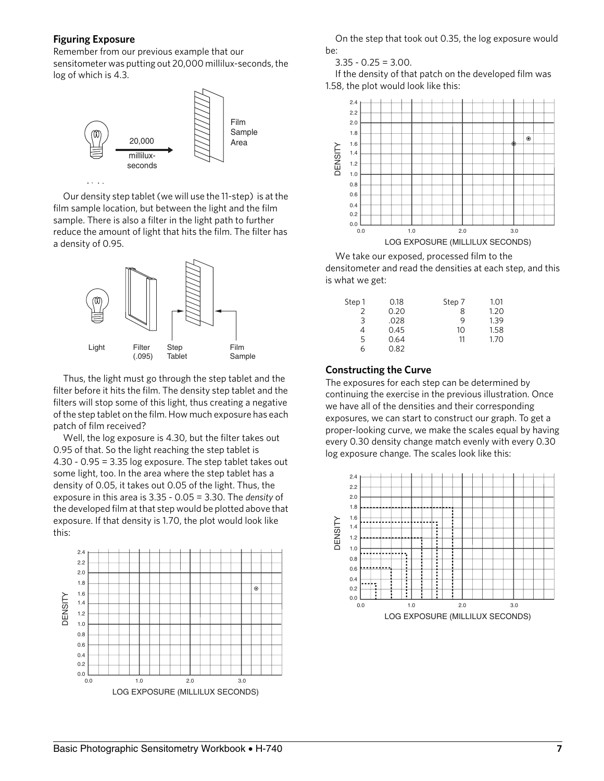#### **Figuring Exposure**

Remember from our previous example that our sensitometer was putting out 20,000 millilux-seconds, the log of which is 4.3.



Our density step tablet (we will use the 11-step) is at the film sample location, but between the light and the film sample. There is also a filter in the light path to further reduce the amount of light that hits the film. The filter has a density of 0.95. Li ht



Thus, the light must go through the step tablet and the filter before it hits the film. The density step tablet and the filters will stop some of this light, thus creating a negative of the step tablet on the film. How much exposure has each patch of film received?

Well, the log exposure is 4.30, but the filter takes out 0.95 of that. So the light reaching the step tablet is 4.30 - 0.95 = 3.35 log exposure. The step tablet takes out some light, too. In the area where the step tablet has a density of 0.05, it takes out 0.05 of the light. Thus, the exposure in this area is 3.35 - 0.05 = 3.30. The *density* of the developed film at that step would be plotted above that exposure. If that density is 1.70, the plot would look like this:



On the step that took out 0.35, the log exposure would be:

 $3.35 - 0.25 = 3.00$ .

If the density of that patch on the developed film was 1.58, the plot would look like this:



We take our exposed, processed film to the densitometer and read the densities at each step, and this is what we get:

| Step 1 | 0.18 | Step 7 | 1.01 |
|--------|------|--------|------|
| 2      | 0.20 | 8      | 1.20 |
| 3      | .028 | 9      | 1.39 |
| 4      | 0.45 | 10     | 1.58 |
| 5      | 0.64 | 11     | 1.70 |
| 6      | 0.82 |        |      |

**Constructing the Curve**

The exposures for each step can be determined by continuing the exercise in the previous illustration. Once we have all of the densities and their corresponding exposures, we can start to construct our graph. To get a proper-looking curve, we make the scales equal by having every 0.30 density change match evenly with every 0.30 log exposure change. The scales look like this:

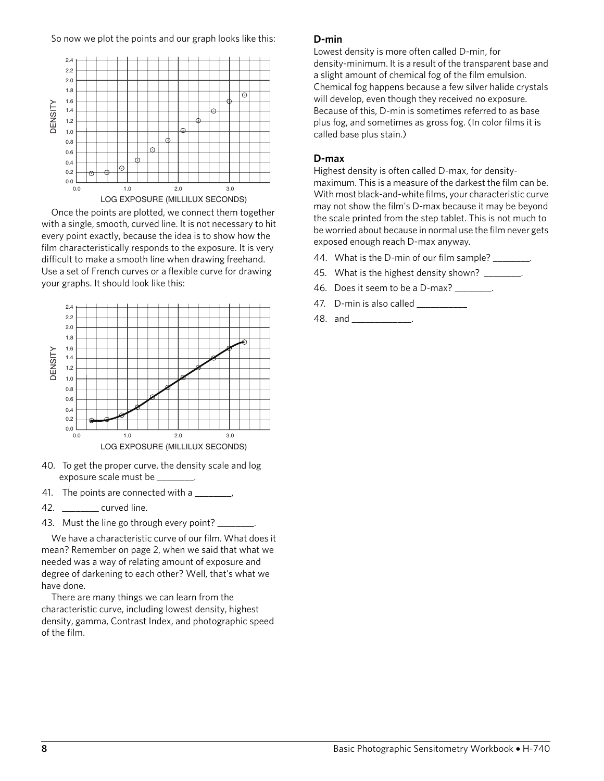So now we plot the points and our graph looks like this:



LOG EXPOSURE (MILLILUX SECONDS)

Once the points are plotted, we connect them together with a single, smooth, curved line. It is not necessary to hit every point exactly, because the idea is to show how the film characteristically responds to the exposure. It is very difficult to make a smooth line when drawing freehand. Use a set of French curves or a flexible curve for drawing your graphs. It should look like this:



- 40. To get the proper curve, the density scale and log exposure scale must be \_\_\_\_
- 41. The points are connected with a \_\_\_\_\_\_\_,
- 42. \_\_\_\_\_\_\_\_ curved line.
- 43. Must the line go through every point? \_\_\_\_\_

We have a characteristic curve of our film. What does it mean? Remember on page 2, when we said that what we needed was a way of relating amount of exposure and degree of darkening to each other? Well, that's what we have done.

There are many things we can learn from the characteristic curve, including lowest density, highest density, gamma, Contrast Index, and photographic speed of the film.

#### **D-min**

Lowest density is more often called D-min, for density-minimum. It is a result of the transparent base and a slight amount of chemical fog of the film emulsion. Chemical fog happens because a few silver halide crystals will develop, even though they received no exposure. Because of this, D-min is sometimes referred to as base plus fog, and sometimes as gross fog. (In color films it is called base plus stain.)

#### **D-max**

Highest density is often called D-max, for densitymaximum. This is a measure of the darkest the film can be. With most black-and-white films, your characteristic curve may not show the film's D-max because it may be beyond the scale printed from the step tablet. This is not much to be worried about because in normal use the film never gets exposed enough reach D-max anyway.

- 44. What is the D-min of our film sample?
- 45. What is the highest density shown? \_\_\_\_\_\_\_\_.
- 46. Does it seem to be a D-max? \_\_\_\_\_\_\_\_.
- 47. D-min is also called \_\_\_\_
- 48. and \_\_\_\_\_\_\_\_\_\_\_\_\_.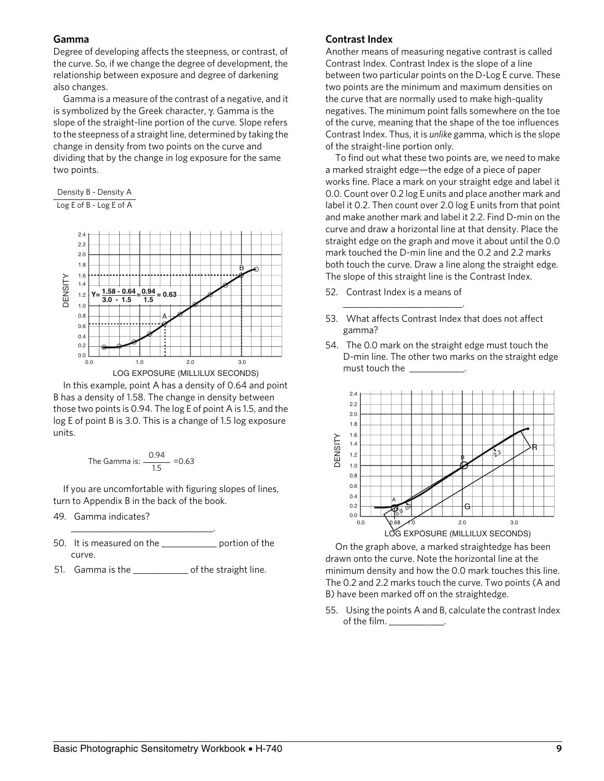#### **Gamma**

Degree of developing affects the steepness, or contrast, of the curve. So, if we change the degree of development, the relationship between exposure and degree of darkening also changes.

Gamma is a measure of the contrast of a negative, and it is symbolized by the Greek character, γ. Gamma is the slope of the straight-line portion of the curve. Slope refers to the steepness of a straight line, determined by taking the change in density from two points on the curve and dividing that by the change in log exposure for the same two points.

Density B - Density A Log E of B - Log E of A



In this example, point A has a density of 0.64 and point B has a density of 1.58. The change in density between those two points is 0.94. The log E of point A is 1.5, and the log E of point B is 3.0. This is a change of 1.5 log exposure units.

The Gamma is: 
$$
\frac{0.94}{1.5} = 0.63
$$

\_\_\_\_\_\_\_\_\_\_\_\_\_\_\_\_\_\_\_\_\_\_\_\_\_\_\_\_\_\_\_.

If you are uncomfortable with figuring slopes of lines, turn to Appendix B in the back of the book.

- 49. Gamma indicates?
- 50. It is measured on the \_\_\_\_\_\_\_\_\_\_\_\_ portion of the curve.
- 51. Gamma is the \_\_\_\_\_\_\_\_\_\_\_\_\_ of the straight line.

#### **Contrast Index**

Another means of measuring negative contrast is called Contrast Index. Contrast Index is the slope of a line between two particular points on the D-Log E curve. These two points are the minimum and maximum densities on the curve that are normally used to make high-quality negatives. The minimum point falls somewhere on the toe of the curve, meaning that the shape of the toe influences Contrast Index. Thus, it is *unlike* gamma, which is the slope of the straight-line portion only.

To find out what these two points are, we need to make a marked straight edge—the edge of a piece of paper works fine. Place a mark on your straight edge and label it 0.0. Count over 0.2 log E units and place another mark and label it 0.2. Then count over 2.0 log E units from that point and make another mark and label it 2.2. Find D-min on the curve and draw a horizontal line at that density. Place the straight edge on the graph and move it about until the 0.0 mark touched the D-min line and the 0.2 and 2.2 marks both touch the curve. Draw a line along the straight edge. The slope of this straight line is the Contrast Index.

52. Contrast Index is a means of

\_\_\_\_\_\_\_\_\_\_\_\_\_\_\_\_\_\_\_\_\_\_\_\_\_\_.

- 53. What affects Contrast Index that does not affect gamma?
- 54. The 0.0 mark on the straight edge must touch the D-min line. The other two marks on the straight edge must touch the \_\_\_\_\_\_\_\_\_\_\_\_.



On the graph above, a marked straightedge has been drawn onto the curve. Note the horizontal line at the minimum density and how the 0.0 mark touches this line. The 0.2 and 2.2 marks touch the curve. Two points (A and B) have been marked off on the straightedge.

55. Using the points A and B, calculate the contrast Index of the film.  $\_\_\_\_\_\_\_\_\_\_\_\_\_\_\_\_\_\_$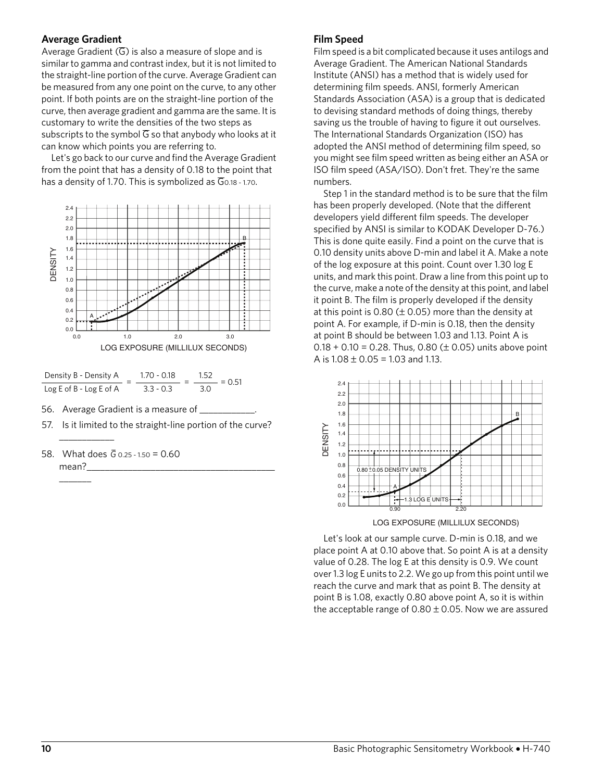#### **Average Gradient**

Average Gradient  $(\overline{G})$  is also a measure of slope and is similar to gamma and contrast index, but it is not limited to the straight-line portion of the curve. Average Gradient can be measured from any one point on the curve, to any other point. If both points are on the straight-line portion of the curve, then average gradient and gamma are the same. It is customary to write the densities of the two steps as subscripts to the symbol  $\overline{G}$  so that anybody who looks at it can know which points you are referring to.

Let's go back to our curve and find the Average Gradient from the point that has a density of 0.18 to the point that has a density of 1.70. This is symbolized as  $\overline{G}$ 0.18 - 1.70.





56. Average Gradient is a measure of \_\_\_

- 57. Is it limited to the straight-line portion of the curve?
- 58. What does  $\overline{G}$  0.25 1.50 = 0.60 mean?\_

\_\_\_\_\_\_\_\_\_\_\_\_

 $\overline{\phantom{a}}$ 

#### **Film Speed**

Film speed is a bit complicated because it uses antilogs and Average Gradient. The American National Standards Institute (ANSI) has a method that is widely used for determining film speeds. ANSI, formerly American Standards Association (ASA) is a group that is dedicated to devising standard methods of doing things, thereby saving us the trouble of having to figure it out ourselves. The International Standards Organization (ISO) has adopted the ANSI method of determining film speed, so you might see film speed written as being either an ASA or ISO film speed (ASA/ISO). Don't fret. They're the same numbers.

Step 1 in the standard method is to be sure that the film has been properly developed. (Note that the different developers yield different film speeds. The developer specified by ANSI is similar to KODAK Developer D-76.) This is done quite easily. Find a point on the curve that is 0.10 density units above D-min and label it A. Make a note of the log exposure at this point. Count over 1.30 log E units, and mark this point. Draw a line from this point up to the curve, make a note of the density at this point, and label it point B. The film is properly developed if the density at this point is 0.80 ( $\pm$  0.05) more than the density at point A. For example, if D-min is 0.18, then the density at point B should be between 1.03 and 1.13. Point A is  $0.18 + 0.10 = 0.28$ . Thus, 0.80 ( $\pm$  0.05) units above point A is  $1.08 \pm 0.05 = 1.03$  and 1.13.



LOG EXPOSURE (MILLILUX SECONDS)

Let's look at our sample curve. D-min is 0.18, and we place point A at 0.10 above that. So point A is at a density value of 0.28. The log E at this density is 0.9. We count over 1.3 log E units to 2.2. We go up from this point until we reach the curve and mark that as point B. The density at point B is 1.08, exactly 0.80 above point A, so it is within the acceptable range of  $0.80 \pm 0.05$ . Now we are assured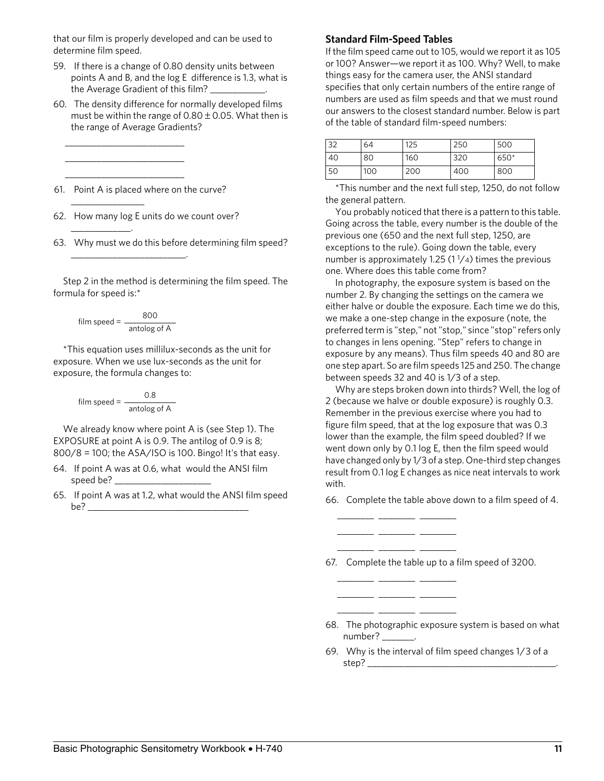that our film is properly developed and can be used to determine film speed.

- 59. If there is a change of 0.80 density units between points A and B, and the log E difference is 1.3, what is the Average Gradient of this film? \_\_\_\_\_\_\_\_\_\_\_\_.
- 60. The density difference for normally developed films must be within the range of  $0.80 \pm 0.05$ . What then is the range of Average Gradients?

61. Point A is placed where on the curve?

\_\_\_\_\_\_\_\_\_\_\_\_\_\_\_\_\_\_\_\_\_\_\_\_\_\_ \_\_\_\_\_\_\_\_\_\_\_\_\_\_\_\_\_\_\_\_\_\_\_\_\_\_ \_\_\_\_\_\_\_\_\_\_\_\_\_\_\_\_\_\_\_\_\_\_\_\_\_\_

\_\_\_\_\_\_\_\_\_\_\_\_\_\_\_\_

 $\overline{\phantom{a}}$  , where  $\overline{\phantom{a}}$ 

- 62. How many log E units do we count over?
- 63. Why must we do this before determining film speed?

Step 2 in the method is determining the film speed. The formula for speed is:\*

$$
film speed = \frac{800}{\text{antolog of A}}
$$

\_\_\_\_\_\_\_\_\_\_\_\_\_\_\_\_\_\_\_\_\_\_\_\_\_.

\*This equation uses millilux-seconds as the unit for exposure. When we use lux-seconds as the unit for exposure, the formula changes to:

$$
film speed = \frac{0.8}{antolog of A}
$$

We already know where point A is (see Step 1). The EXPOSURE at point A is 0.9. The antilog of 0.9 is 8; 800/8 = 100; the ASA/ISO is 100. Bingo! It's that easy.

- 64. If point A was at 0.6, what would the ANSI film speed be?  $\rule{1em}{0.15mm}$
- 65. If point A was at 1.2, what would the ANSI film speed be? \_\_\_\_\_\_\_\_\_\_\_\_\_\_\_\_\_\_\_\_\_\_\_\_\_\_\_\_\_\_\_\_\_\_\_

#### **Standard Film-Speed Tables**

If the film speed came out to 105, would we report it as 105 or 100? Answer—we report it as 100. Why? Well, to make things easy for the camera user, the ANSI standard specifies that only certain numbers of the entire range of numbers are used as film speeds and that we must round our answers to the closest standard number. Below is part of the table of standard film-speed numbers:

| 32 | 64  | 125 | 250 | 500    |
|----|-----|-----|-----|--------|
| 40 | 80  | 160 | 320 | $650*$ |
| 50 | 100 | 200 | 400 | 800    |

\*This number and the next full step, 1250, do not follow the general pattern.

You probably noticed that there is a pattern to this table. Going across the table, every number is the double of the previous one (650 and the next full step, 1250, are exceptions to the rule). Going down the table, every number is approximately 1.25 (1 $\frac{1}{4}$ ) times the previous one. Where does this table come from?

In photography, the exposure system is based on the number 2. By changing the settings on the camera we either halve or double the exposure. Each time we do this, we make a one-step change in the exposure (note, the preferred term is "step," not "stop," since "stop" refers only to changes in lens opening. "Step" refers to change in exposure by any means). Thus film speeds 40 and 80 are one step apart. So are film speeds 125 and 250. The change between speeds 32 and 40 is 1/3 of a step.

Why are steps broken down into thirds? Well, the log of 2 (because we halve or double exposure) is roughly 0.3. Remember in the previous exercise where you had to figure film speed, that at the log exposure that was 0.3 lower than the example, the film speed doubled? If we went down only by 0.1 log E, then the film speed would have changed only by 1/3 of a step. One-third step changes result from 0.1 log E changes as nice neat intervals to work with.

66. Complete the table above down to a film speed of 4.

67. Complete the table up to a film speed of 3200.

\_\_\_\_\_\_\_\_ \_\_\_\_\_\_\_\_ \_\_\_\_\_\_\_\_ \_\_\_\_\_\_\_\_ \_\_\_\_\_\_\_\_ \_\_\_\_\_\_\_\_ \_\_\_\_\_\_\_\_ \_\_\_\_\_\_\_\_ \_\_\_\_\_\_\_\_

> $-$ \_\_\_\_\_\_\_\_ \_\_\_\_\_\_\_\_ \_\_\_\_\_\_\_\_ \_\_\_\_\_\_\_\_ \_\_\_\_\_\_\_\_ \_\_\_\_\_\_\_\_

- 68. The photographic exposure system is based on what number? \_\_\_\_
- 69. Why is the interval of film speed changes 1/3 of a step? \_\_\_\_\_\_\_\_\_\_\_\_\_\_\_\_\_\_\_\_\_\_\_\_\_\_\_\_\_\_\_\_\_\_\_\_\_\_\_\_\_.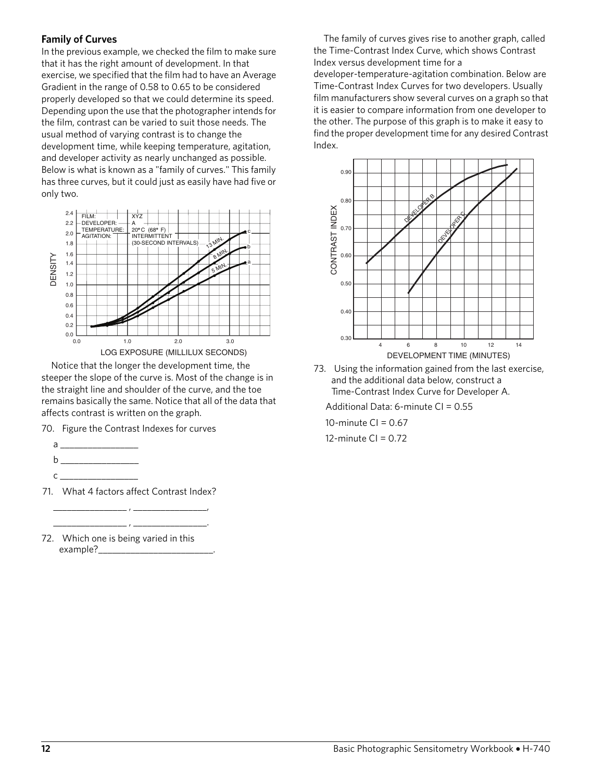#### **Family of Curves**

In the previous example, we checked the film to make sure that it has the right amount of development. In that exercise, we specified that the film had to have an Average Gradient in the range of 0.58 to 0.65 to be considered properly developed so that we could determine its speed. Depending upon the use that the photographer intends for the film, contrast can be varied to suit those needs. The usual method of varying contrast is to change the development time, while keeping temperature, agitation, and developer activity as nearly unchanged as possible. Below is what is known as a "family of curves." This family has three curves, but it could just as easily have had five or only two.



Notice that the longer the development time, the steeper the slope of the curve is. Most of the change is in the straight line and shoulder of the curve, and the toe remains basically the same. Notice that all of the data that affects contrast is written on the graph.

70. Figure the Contrast Indexes for curves

- $a \_$
- $b$   $\_\_$
- c \_\_\_\_\_\_\_\_\_\_\_\_\_\_\_\_\_
- 71. What 4 factors affect Contrast Index? \_\_\_\_\_\_\_\_\_\_\_\_\_\_\_\_ , \_\_\_\_\_\_\_\_\_\_\_\_\_\_\_\_,

\_\_\_\_\_\_\_\_\_\_\_\_\_\_\_\_ , \_\_\_\_\_\_\_\_\_\_\_\_\_\_\_\_.

72. Which one is being varied in this example?\_\_\_

The family of curves gives rise to another graph, called the Time-Contrast Index Curve, which shows Contrast Index versus development time for a developer-temperature-agitation combination. Below are Time-Contrast Index Curves for two developers. Usually film manufacturers show several curves on a graph so that it is easier to compare information from one developer to the other. The purpose of this graph is to make it easy to find the proper development time for any desired Contrast Index.



73. Using the information gained from the last exercise, and the additional data below, construct a Time-Contrast Index Curve for Developer A.

Additional Data: 6-minute CI = 0.55

10-minute  $CI = 0.67$ 

12-minute CI = 0.72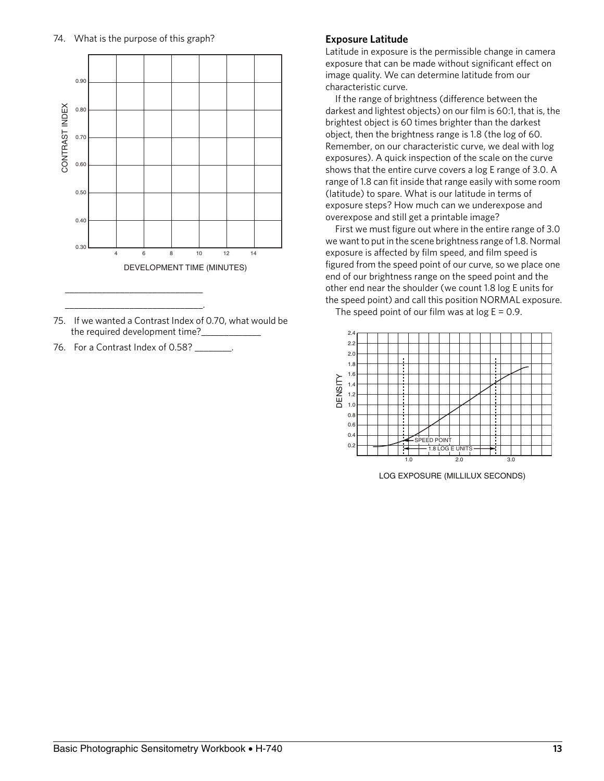

- 75. If we wanted a Contrast Index of 0.70, what would be the required development time?\_
- 76. For a Contrast Index of 0.58? \_\_\_\_\_\_\_\_.

\_\_\_\_\_\_\_\_\_\_\_\_\_\_\_\_\_\_\_\_\_\_\_\_\_\_\_\_\_\_.

#### **Exposure Latitude**

Latitude in exposure is the permissible change in camera exposure that can be made without significant effect on image quality. We can determine latitude from our characteristic curve.

If the range of brightness (difference between the darkest and lightest objects) on our film is 60:1, that is, the brightest object is 60 times brighter than the darkest object, then the brightness range is 1.8 (the log of 60. Remember, on our characteristic curve, we deal with log exposures). A quick inspection of the scale on the curve shows that the entire curve covers a log E range of 3.0. A range of 1.8 can fit inside that range easily with some room (latitude) to spare. What is our latitude in terms of exposure steps? How much can we underexpose and overexpose and still get a printable image?

First we must figure out where in the entire range of 3.0 we want to put in the scene brightness range of 1.8. Normal exposure is affected by film speed, and film speed is figured from the speed point of our curve, so we place one end of our brightness range on the speed point and the other end near the shoulder (we count 1.8 log E units for the speed point) and call this position NORMAL exposure.

The speed point of our film was at  $log E = 0.9$ .



LOG EXPOSURE (MILLILUX SECONDS)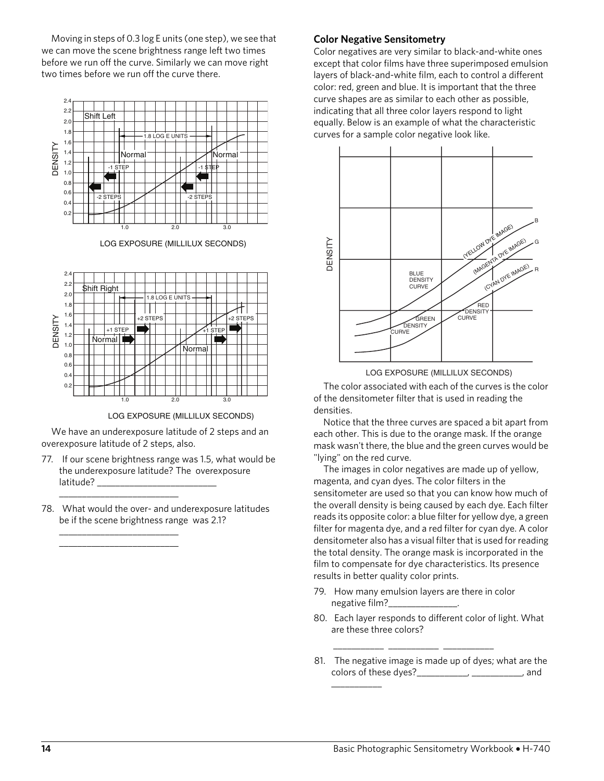Moving in steps of 0.3 log E units (one step), we see that we can move the scene brightness range left two times before we run off the curve. Similarly we can move right two times before we run off the curve there.



LOG EXPOSURE (MILLILUX SECONDS)



LOG EXPOSURE (MILLILUX SECONDS)

We have an underexposure latitude of 2 steps and an overexposure latitude of 2 steps, also.

- 77. If our scene brightness range was 1.5, what would be the underexposure latitude? The overexposure latitude? \_\_\_\_\_
- 78. What would the over- and underexposure latitudes be if the scene brightness range was 2.1?

\_\_\_\_\_\_\_\_\_\_\_\_\_\_\_\_\_\_\_\_\_\_\_\_\_\_

\_\_\_\_\_\_\_\_\_\_\_\_\_\_\_\_\_\_\_\_\_\_\_\_\_\_ \_\_\_\_\_\_\_\_\_\_\_\_\_\_\_\_\_\_\_\_\_\_\_\_\_\_

#### **Color Negative Sensitometry**

Color negatives are very similar to black-and-white ones except that color films have three superimposed emulsion layers of black-and-white film, each to control a different color: red, green and blue. It is important that the three curve shapes are as similar to each other as possible, indicating that all three color layers respond to light equally. Below is an example of what the characteristic curves for a sample color negative look like.



LOG EXPOSURE (MILLILUX SECONDS)

The color associated with each of the curves is the color of the densitometer filter that is used in reading the densities.

Notice that the three curves are spaced a bit apart from each other. This is due to the orange mask. If the orange mask wasn't there, the blue and the green curves would be "lying" on the red curve.

The images in color negatives are made up of yellow, magenta, and cyan dyes. The color filters in the sensitometer are used so that you can know how much of the overall density is being caused by each dye. Each filter reads its opposite color: a blue filter for yellow dye, a green filter for magenta dye, and a red filter for cyan dye. A color densitometer also has a visual filter that is used for reading the total density. The orange mask is incorporated in the film to compensate for dye characteristics. Its presence results in better quality color prints.

79. How many emulsion layers are there in color negative film?\_\_\_\_\_\_\_\_\_\_\_\_\_\_\_.

\_\_\_\_\_\_\_\_\_\_\_ \_\_\_\_\_\_\_\_\_\_\_ \_\_\_\_\_\_\_\_\_\_\_

\_\_\_\_\_\_\_\_\_\_\_

- 80. Each layer responds to different color of light. What are these three colors?
- 81. The negative image is made up of dyes; what are the colors of these dyes?\_\_\_\_\_\_\_\_\_\_\_, \_\_\_\_\_\_\_\_\_\_\_, and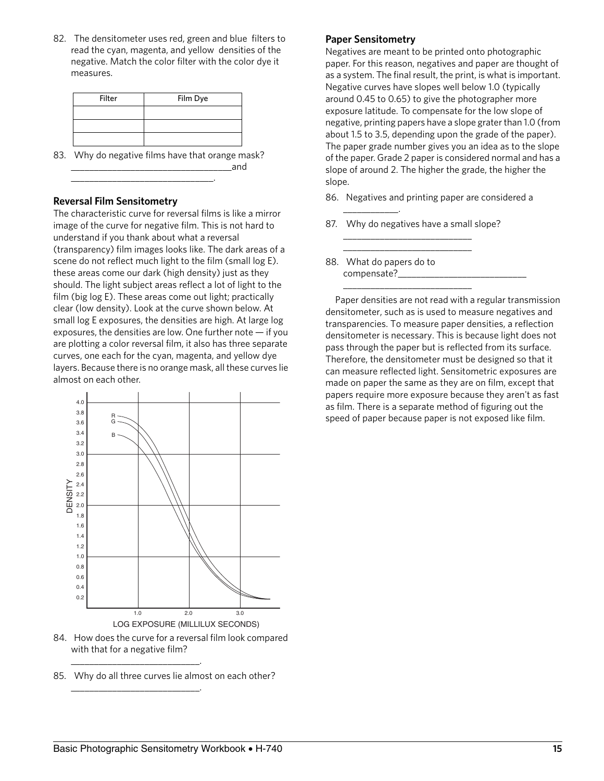82. The densitometer uses red, green and blue filters to read the cyan, magenta, and yellow densities of the negative. Match the color filter with the color dye it measures.

| <b>Filter</b> | Film Dye |
|---------------|----------|
|               |          |
|               |          |
|               |          |

83. Why do negative films have that orange mask? \_\_\_\_\_\_\_\_\_\_\_\_\_\_\_\_\_\_\_\_\_\_\_\_\_\_\_\_\_\_\_\_\_\_\_and

\_\_\_\_\_\_\_\_\_\_\_\_\_\_\_\_\_\_\_\_\_\_\_\_\_\_\_\_\_\_\_.

#### **Reversal Film Sensitometry**

The characteristic curve for reversal films is like a mirror image of the curve for negative film. This is not hard to understand if you thank about what a reversal (transparency) film images looks like. The dark areas of a scene do not reflect much light to the film (small log E). these areas come our dark (high density) just as they should. The light subject areas reflect a lot of light to the film (big log E). These areas come out light; practically clear (low density). Look at the curve shown below. At small log E exposures, the densities are high. At large log exposures, the densities are low. One further note  $-$  if you are plotting a color reversal film, it also has three separate curves, one each for the cyan, magenta, and yellow dye layers. Because there is no orange mask, all these curves lie almost on each other.



- 84. How does the curve for a reversal film look compared with that for a negative film?
- 85. Why do all three curves lie almost on each other?

\_\_\_\_\_\_\_\_\_\_\_\_\_\_\_\_\_\_\_\_\_\_\_\_\_\_\_\_.

\_\_\_\_\_\_\_\_\_\_\_\_\_\_\_\_\_\_\_\_\_\_\_\_\_\_\_\_.

#### **Paper Sensitometry**

Negatives are meant to be printed onto photographic paper. For this reason, negatives and paper are thought of as a system. The final result, the print, is what is important. Negative curves have slopes well below 1.0 (typically around 0.45 to 0.65) to give the photographer more exposure latitude. To compensate for the low slope of negative, printing papers have a slope grater than 1.0 (from about 1.5 to 3.5, depending upon the grade of the paper). The paper grade number gives you an idea as to the slope of the paper. Grade 2 paper is considered normal and has a slope of around 2. The higher the grade, the higher the slope.

- 86. Negatives and printing paper are considered a \_\_\_\_\_\_\_\_\_\_\_\_.
- 87. Why do negatives have a small slope? \_\_\_\_\_\_\_\_\_\_\_\_\_\_\_\_\_\_\_\_\_\_\_\_\_\_\_\_

\_\_\_\_\_\_\_\_\_\_\_\_\_\_\_\_\_\_\_\_\_\_\_\_\_\_\_\_

\_\_\_\_\_\_\_\_\_\_\_\_\_\_\_\_\_\_\_\_\_\_\_\_\_\_\_\_

88. What do papers do to compensate?\_

Paper densities are not read with a regular transmission densitometer, such as is used to measure negatives and transparencies. To measure paper densities, a reflection densitometer is necessary. This is because light does not pass through the paper but is reflected from its surface. Therefore, the densitometer must be designed so that it can measure reflected light. Sensitometric exposures are made on paper the same as they are on film, except that papers require more exposure because they aren't as fast as film. There is a separate method of figuring out the speed of paper because paper is not exposed like film.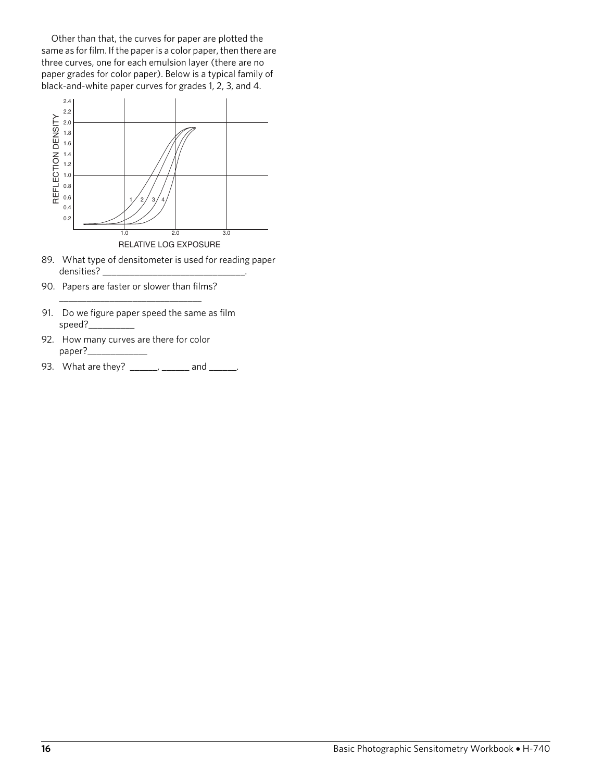Other than that, the curves for paper are plotted the same as for film. If the paper is a color paper, then there are three curves, one for each emulsion layer (there are no paper grades for color paper). Below is a typical family of black-and-white paper curves for grades 1, 2, 3, and 4.



- 89. What type of densitometer is used for reading paper densities? \_\_\_\_\_\_\_\_\_\_\_\_\_\_\_\_\_\_\_\_\_\_\_\_\_\_\_\_\_\_\_.
- 90. Papers are faster or slower than films? \_\_\_\_\_\_\_\_\_\_\_\_\_\_\_\_\_\_\_\_\_\_\_\_\_\_\_\_\_\_\_
- 91. Do we figure paper speed the same as film speed?\_
- 92. How many curves are there for color paper?\_
- 93. What are they? \_\_\_\_\_\_, \_\_\_\_\_\_ and \_\_\_\_\_.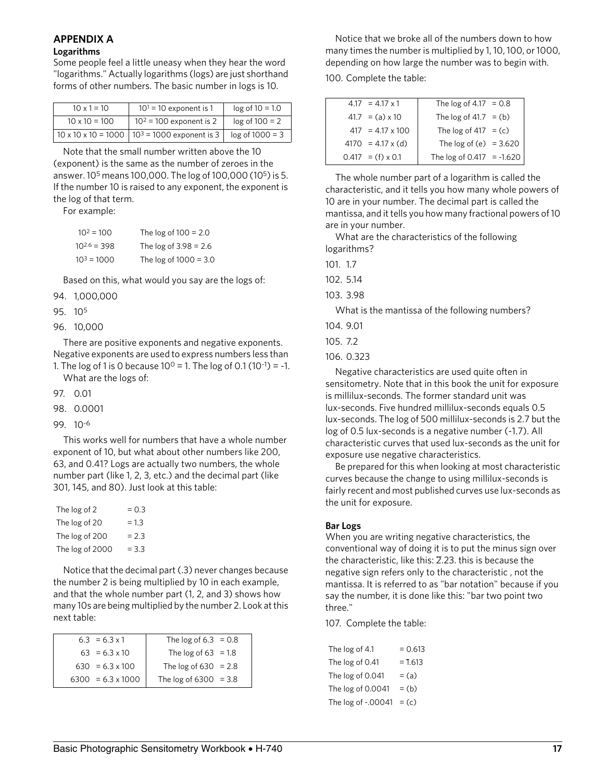### **APPENDIX A**

#### **Logarithms**

Some people feel a little uneasy when they hear the word "logarithms." Actually logarithms (logs) are just shorthand forms of other numbers. The basic number in logs is 10.

| $10 \times 1 = 10$   | $101 = 10$ exponent is 1                                      | $log of 10 = 1.0$ |
|----------------------|---------------------------------------------------------------|-------------------|
| $10 \times 10 = 100$ | $102 = 100$ exponent is 2                                     | $log of 100 = 2$  |
|                      | $10 \times 10 \times 10 = 1000$   $10^3 = 1000$ exponent is 3 | $log of 1000 = 3$ |

Note that the small number written above the 10 (exponent) is the same as the number of zeroes in the answer. 105 means 100,000. The log of 100,000 (105) is 5. If the number 10 is raised to any exponent, the exponent is the log of that term.

For example:

| $10^2 = 100$     | The $log of 100 = 2.0$  |
|------------------|-------------------------|
| $10^{2.6} = 398$ | The $log of 3.98 = 2.6$ |
| $10^3 = 1000$    | The $log of 1000 = 3.0$ |

Based on this, what would you say are the logs of:

- 94. 1,000,000
- 95. 105
- 96. 10,000

There are positive exponents and negative exponents. Negative exponents are used to express numbers less than

1. The log of 1 is 0 because  $10^0$  = 1. The log of 0.1 (10<sup>-1</sup>) = -1. What are the logs of:

97. 0.01

- 98. 0.0001
- 99. 10-6

This works well for numbers that have a whole number exponent of 10, but what about other numbers like 200, 63, and 0.41? Logs are actually two numbers, the whole number part (like 1, 2, 3, etc.) and the decimal part (like 301, 145, and 80). Just look at this table:

| The log of 2    | $= 0.3$ |
|-----------------|---------|
| The log of 20   | $= 1.3$ |
| The log of 200  | $= 2.3$ |
| The log of 2000 | $= 3.3$ |

Notice that the decimal part (.3) never changes because the number 2 is being multiplied by 10 in each example, and that the whole number part (1, 2, and 3) shows how many 10s are being multiplied by the number 2. Look at this next table:

| $6.3 = 6.3 \times 1$     | The log of $6.3 = 0.8$  |  |
|--------------------------|-------------------------|--|
| $63 = 6.3 \times 10$     | The log of $63 = 1.8$   |  |
| $630 = 6.3 \times 100$   | The $log of 630 = 2.8$  |  |
| $6300 = 6.3 \times 1000$ | The log of $6300 = 3.8$ |  |

Notice that we broke all of the numbers down to how many times the number is multiplied by 1, 10, 100, or 1000, depending on how large the number was to begin with. 100. Complete the table:

| $4.17 = 4.17 \times 1$   | The log of $4.17 = 0.8$     |  |
|--------------------------|-----------------------------|--|
| $41.7 = (a) \times 10$   | The $log of 41.7 = (b)$     |  |
| $417 = 4.17 \times 100$  | The log of $417 = (c)$      |  |
| $4170 = 4.17 \times (d)$ | The $log of (e) = 3.620$    |  |
| $0.417 = (f) \times 0.1$ | The log of $0.417 = -1.620$ |  |

The whole number part of a logarithm is called the characteristic, and it tells you how many whole powers of 10 are in your number. The decimal part is called the mantissa, and it tells you how many fractional powers of 10 are in your number.

What are the characteristics of the following logarithms?

101. 1.7

102. 5.14

103. 3.98

What is the mantissa of the following numbers?

104. 9.01

105. 7.2

106. 0.323

Negative characteristics are used quite often in sensitometry. Note that in this book the unit for exposure is millilux-seconds. The former standard unit was lux-seconds. Five hundred millilux-seconds equals 0.5 lux-seconds. The log of 500 millilux-seconds is 2.7 but the log of 0.5 lux-seconds is a negative number (-1.7). All characteristic curves that used lux-seconds as the unit for exposure use negative characteristics.

Be prepared for this when looking at most characteristic curves because the change to using millilux-seconds is fairly recent and most published curves use lux-seconds as the unit for exposure.

#### **Bar Logs**

When you are writing negative characteristics, the conventional way of doing it is to put the minus sign over the characteristic, like this:  $2.23$ . this is because the negative sign refers only to the characteristic , not the mantissa. It is referred to as "bar notation" because if you say the number, it is done like this: "bar two point two three."

107. Complete the table:

| The log of 4.1     | $= 0.613$ |
|--------------------|-----------|
| The log of 0.41    | $= 1.613$ |
| The log of 0.041   | $=$ (a)   |
| The log of 0.0041  | $=$ (b)   |
| The log of -.00041 | $=$ (c)   |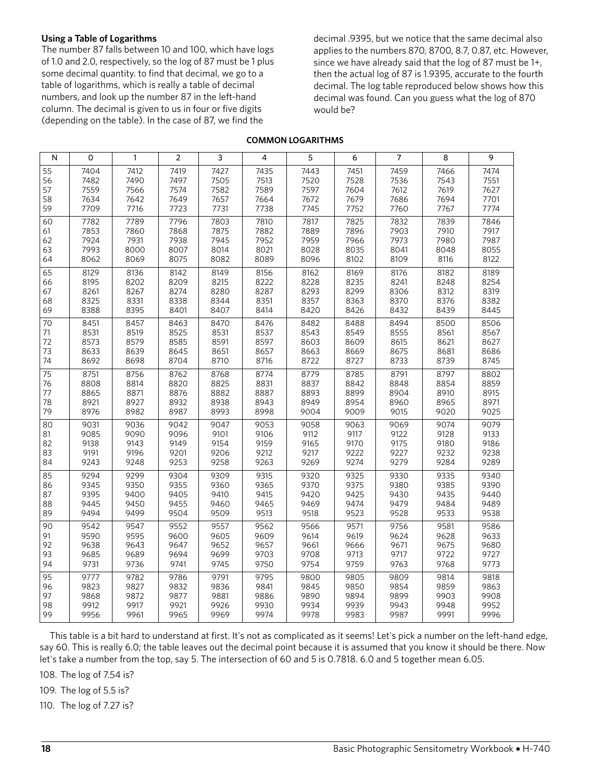#### **Using a Table of Logarithms**

The number 87 falls between 10 and 100, which have logs of 1.0 and 2.0, respectively, so the log of 87 must be 1 plus some decimal quantity. to find that decimal, we go to a table of logarithms, which is really a table of decimal numbers, and look up the number 87 in the left-hand column. The decimal is given to us in four or five digits (depending on the table). In the case of 87, we find the

decimal .9395, but we notice that the same decimal also applies to the numbers 870, 8700, 8.7, 0.87, etc. However, since we have already said that the log of 87 must be 1+, then the actual log of 87 is 1.9395, accurate to the fourth decimal. The log table reproduced below shows how this decimal was found. Can you guess what the log of 870 would be?

#### **COMMON LOGARITHMS**

| N  | $\mathsf{O}\xspace$ | $\mathbf{1}$ | $\overline{2}$ | $\mathsf{3}$ | $\overline{\mathbf{4}}$ | 5    | 6    | $\overline{7}$ | 8    | 9    |
|----|---------------------|--------------|----------------|--------------|-------------------------|------|------|----------------|------|------|
| 55 | 7404                | 7412         | 7419           | 7427         | 7435                    | 7443 | 7451 | 7459           | 7466 | 7474 |
| 56 | 7482                | 7490         | 7497           | 7505         | 7513                    | 7520 | 7528 | 7536           | 7543 | 7551 |
| 57 | 7559                | 7566         | 7574           | 7582         | 7589                    | 7597 | 7604 | 7612           | 7619 | 7627 |
| 58 | 7634                | 7642         | 7649           | 7657         | 7664                    | 7672 | 7679 | 7686           | 7694 | 7701 |
| 59 | 7709                | 7716         | 7723           | 7731         | 7738                    | 7745 | 7752 | 7760           | 7767 | 7774 |
| 60 | 7782                | 7789         | 7796           | 7803         | 7810                    | 7817 | 7825 | 7832           | 7839 | 7846 |
| 61 | 7853                | 7860         | 7868           | 7875         | 7882                    | 7889 | 7896 | 7903           | 7910 | 7917 |
| 62 | 7924                | 7931         | 7938           | 7945         | 7952                    | 7959 | 7966 | 7973           | 7980 | 7987 |
| 63 | 7993                | 8000         | 8007           | 8014         | 8021                    | 8028 | 8035 | 8041           | 8048 | 8055 |
| 64 | 8062                | 8069         | 8075           | 8082         | 8089                    | 8096 | 8102 | 8109           | 8116 | 8122 |
| 65 | 8129                | 8136         | 8142           | 8149         | 8156                    | 8162 | 8169 | 8176           | 8182 | 8189 |
| 66 | 8195                | 8202         | 8209           | 8215         | 8222                    | 8228 | 8235 | 8241           | 8248 | 8254 |
| 67 | 8261                | 8267         | 8274           | 8280         | 8287                    | 8293 | 8299 | 8306           | 8312 | 8319 |
| 68 | 8325                | 8331         | 8338           | 8344         | 8351                    | 8357 | 8363 | 8370           | 8376 | 8382 |
| 69 | 8388                | 8395         | 8401           | 8407         | 8414                    | 8420 | 8426 | 8432           | 8439 | 8445 |
| 70 | 8451                | 8457         | 8463           | 8470         | 8476                    | 8482 | 8488 | 8494           | 8500 | 8506 |
| 71 | 8531                | 8519         | 8525           | 8531         | 8537                    | 8543 | 8549 | 8555           | 8561 | 8567 |
| 72 | 8573                | 8579         | 8585           | 8591         | 8597                    | 8603 | 8609 | 8615           | 8621 | 8627 |
| 73 | 8633                | 8639         | 8645           | 8651         | 8657                    | 8663 | 8669 | 8675           | 8681 | 8686 |
| 74 | 8692                | 8698         | 8704           | 8710         | 8716                    | 8722 | 8727 | 8733           | 8739 | 8745 |
| 75 | 8751                | 8756         | 8762           | 8768         | 8774                    | 8779 | 8785 | 8791           | 8797 | 8802 |
| 76 | 8808                | 8814         | 8820           | 8825         | 8831                    | 8837 | 8842 | 8848           | 8854 | 8859 |
| 77 | 8865                | 8871         | 8876           | 8882         | 8887                    | 8893 | 8899 | 8904           | 8910 | 8915 |
| 78 | 8921                | 8927         | 8932           | 8938         | 8943                    | 8949 | 8954 | 8960           | 8965 | 8971 |
| 79 | 8976                | 8982         | 8987           | 8993         | 8998                    | 9004 | 9009 | 9015           | 9020 | 9025 |
| 80 | 9031                | 9036         | 9042           | 9047         | 9053                    | 9058 | 9063 | 9069           | 9074 | 9079 |
| 81 | 9085                | 9090         | 9096           | 9101         | 9106                    | 9112 | 9117 | 9122           | 9128 | 9133 |
| 82 | 9138                | 9143         | 9149           | 9154         | 9159                    | 9165 | 9170 | 9175           | 9180 | 9186 |
| 83 | 9191                | 9196         | 9201           | 9206         | 9212                    | 9217 | 9222 | 9227           | 9232 | 9238 |
| 84 | 9243                | 9248         | 9253           | 9258         | 9263                    | 9269 | 9274 | 9279           | 9284 | 9289 |
| 85 | 9294                | 9299         | 9304           | 9309         | 9315                    | 9320 | 9325 | 9330           | 9335 | 9340 |
| 86 | 9345                | 9350         | 9355           | 9360         | 9365                    | 9370 | 9375 | 9380           | 9385 | 9390 |
| 87 | 9395                | 9400         | 9405           | 9410         | 9415                    | 9420 | 9425 | 9430           | 9435 | 9440 |
| 88 | 9445                | 9450         | 9455           | 9460         | 9465                    | 9469 | 9474 | 9479           | 9484 | 9489 |
| 89 | 9494                | 9499         | 9504           | 9509         | 9513                    | 9518 | 9523 | 9528           | 9533 | 9538 |
| 90 | 9542                | 9547         | 9552           | 9557         | 9562                    | 9566 | 9571 | 9756           | 9581 | 9586 |
| 91 | 9590                | 9595         | 9600           | 9605         | 9609                    | 9614 | 9619 | 9624           | 9628 | 9633 |
| 92 | 9638                | 9643         | 9647           | 9652         | 9657                    | 9661 | 9666 | 9671           | 9675 | 9680 |
| 93 | 9685                | 9689         | 9694           | 9699         | 9703                    | 9708 | 9713 | 9717           | 9722 | 9727 |
| 94 | 9731                | 9736         | 9741           | 9745         | 9750                    | 9754 | 9759 | 9763           | 9768 | 9773 |
| 95 | 9777                | 9782         | 9786           | 9791         | 9795                    | 9800 | 9805 | 9809           | 9814 | 9818 |
| 96 | 9823                | 9827         | 9832           | 9836         | 9841                    | 9845 | 9850 | 9854           | 9859 | 9863 |
| 97 | 9868                | 9872         | 9877           | 9881         | 9886                    | 9890 | 9894 | 9899           | 9903 | 9908 |
| 98 | 9912                | 9917         | 9921           | 9926         | 9930                    | 9934 | 9939 | 9943           | 9948 | 9952 |
| 99 | 9956                | 9961         | 9965           | 9969         | 9974                    | 9978 | 9983 | 9987           | 9991 | 9996 |

This table is a bit hard to understand at first. It's not as complicated as it seems! Let's pick a number on the left-hand edge, say 60. This is really 6.0; the table leaves out the decimal point because it is assumed that you know it should be there. Now let's take a number from the top, say 5. The intersection of 60 and 5 is 0.7818. 6.0 and 5 together mean 6.05.

108. The log of 7.54 is?

109. The log of 5.5 is?

110. The log of 7.27 is?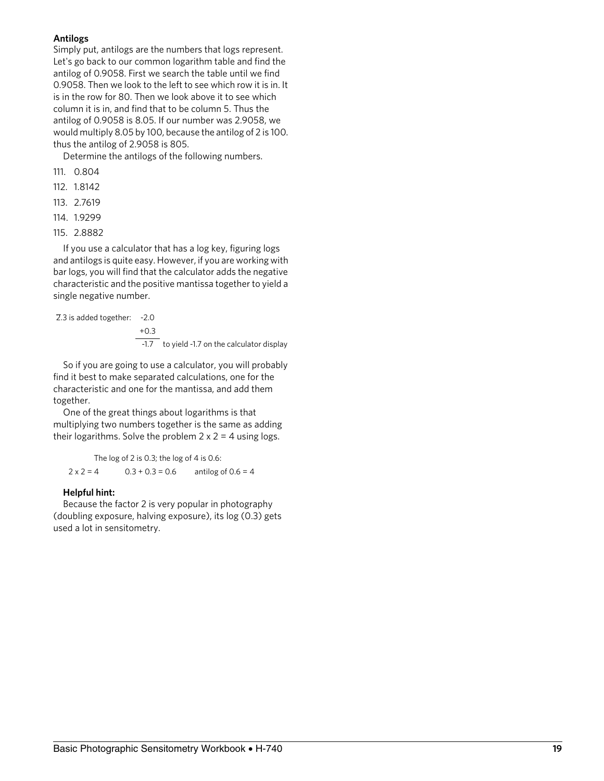#### **Antilogs**

Simply put, antilogs are the numbers that logs represent. Let's go back to our common logarithm table and find the antilog of 0.9058. First we search the table until we find 0.9058. Then we look to the left to see which row it is in. It is in the row for 80. Then we look above it to see which column it is in, and find that to be column 5. Thus the antilog of 0.9058 is 8.05. If our number was 2.9058, we would multiply 8.05 by 100, because the antilog of 2 is 100. thus the antilog of 2.9058 is 805.

Determine the antilogs of the following numbers.

- 111. 0.804
- 112. 1.8142
- 113. 2.7619
- 114. 1.9299
- 115. 2.8882

If you use a calculator that has a log key, figuring logs and antilogs is quite easy. However, if you are working with bar logs, you will find that the calculator adds the negative characteristic and the positive mantissa together to yield a single negative number.

2.3 is added together: -2.0

+0.3 -1.7 to yield -1.7 on the calculator display

So if you are going to use a calculator, you will probably find it best to make separated calculations, one for the characteristic and one for the mantissa, and add them together.

One of the great things about logarithms is that multiplying two numbers together is the same as adding their logarithms. Solve the problem  $2 \times 2 = 4$  using logs.

The log of 2 is 0.3; the log of 4 is 0.6:  $2 \times 2 = 4$  0.3 + 0.3 = 0.6 antilog of 0.6 = 4

#### **Helpful hint:**

Because the factor 2 is very popular in photography (doubling exposure, halving exposure), its log (0.3) gets used a lot in sensitometry.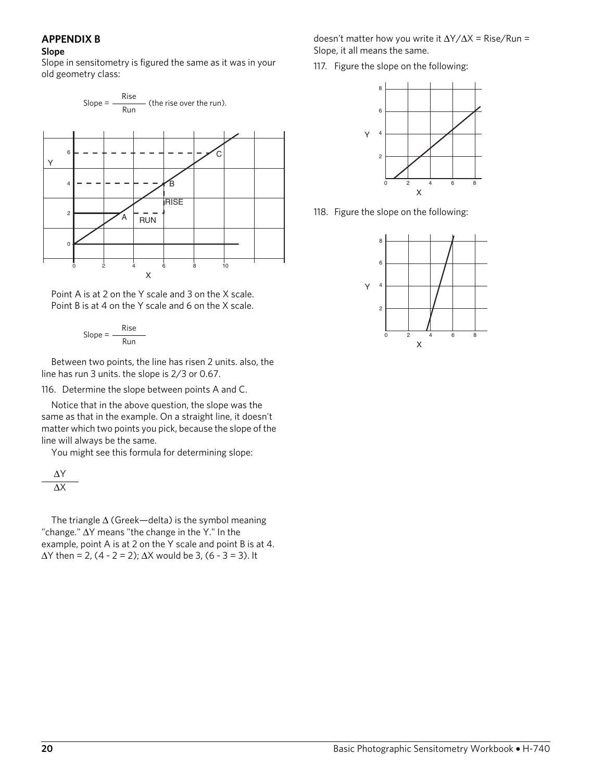#### **APPENDIX B**

#### **Slope**

Slope in sensitometry is figured the same as it was in your old geometry class:



Point A is at 2 on the Y scale and 3 on the X scale. Point B is at 4 on the Y scale and 6 on the X scale.

$$
Slope = \frac{Rise}{Run}
$$

Between two points, the line has risen 2 units. also, the line has run 3 units. the slope is 2/3 or 0.67.

116. Determine the slope between points A and C.

Notice that in the above question, the slope was the same as that in the example. On a straight line, it doesn't matter which two points you pick, because the slope of the line will always be the same.

You might see this formula for determining slope:

$$
\frac{\Delta Y}{\Delta X}
$$

The triangle  $\Delta$  (Greek—delta) is the symbol meaning "change." ∆Y means "the change in the Y." In the example, point A is at 2 on the Y scale and point B is at 4.  $\Delta$ Y then = 2, (4 - 2 = 2);  $\Delta$ X would be 3, (6 - 3 = 3). It

doesn't matter how you write it ∆Y/∆X = Rise/Run = Slope, it all means the same.

117. Figure the slope on the following:



118. Figure the slope on the following:

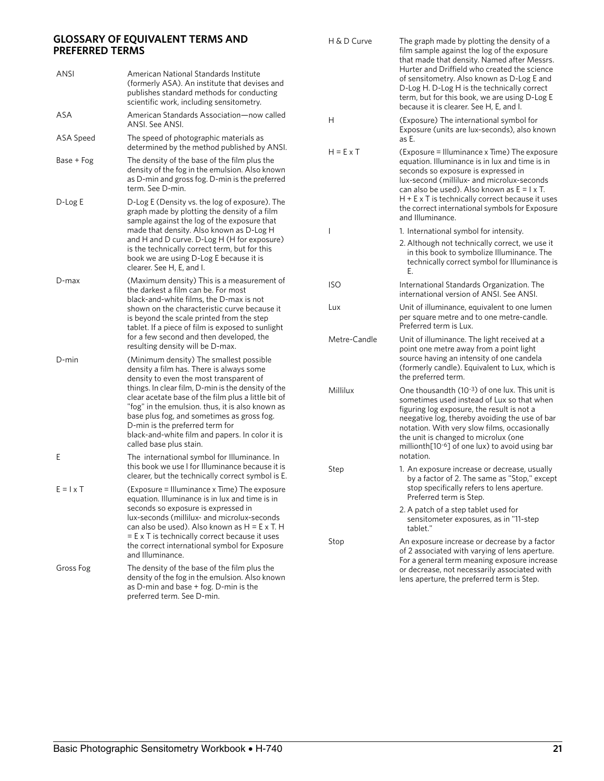#### **GLOSSARY OF EQUIVALENT TERMS AND PREFERRED TERMS**

| <b>PREFERRED TERMS</b> | GLOSSARY OF EQUIVALENT TERMS AND                                                                                                                                                                                                                                                                                             | H & D Curve      | The graph made by plotting the density of a<br>film sample against the log of the exposure<br>that made that density. Named after Messrs.                                                                                                                                                                                                           |  |  |
|------------------------|------------------------------------------------------------------------------------------------------------------------------------------------------------------------------------------------------------------------------------------------------------------------------------------------------------------------------|------------------|-----------------------------------------------------------------------------------------------------------------------------------------------------------------------------------------------------------------------------------------------------------------------------------------------------------------------------------------------------|--|--|
| ANSI                   | American National Standards Institute<br>(formerly ASA). An institute that devises and<br>publishes standard methods for conducting<br>scientific work, including sensitometry.                                                                                                                                              |                  | Hurter and Driffield who created the science<br>of sensitometry. Also known as D-Log E and<br>D-Log H. D-Log H is the technically correct<br>term, but for this book, we are using D-Log E<br>because it is clearer. See H, E, and I.                                                                                                               |  |  |
| ASA                    | American Standards Association-now called<br>ANSI. See ANSI.                                                                                                                                                                                                                                                                 | H                | (Exposure) The international symbol for<br>Exposure (units are lux-seconds), also known                                                                                                                                                                                                                                                             |  |  |
| ASA Speed              | The speed of photographic materials as<br>determined by the method published by ANSI.                                                                                                                                                                                                                                        | $H = E \times T$ | as E.<br>(Exposure = Illuminance x Time) The exposure                                                                                                                                                                                                                                                                                               |  |  |
| Base + Fog             | The density of the base of the film plus the<br>density of the fog in the emulsion. Also known<br>as D-min and gross fog. D-min is the preferred<br>term. See D-min.                                                                                                                                                         |                  | equation. Illuminance is in lux and time is in<br>seconds so exposure is expressed in<br>lux-second (millilux- and microlux-seconds<br>can also be used). Also known as $E = I \times T$ .                                                                                                                                                          |  |  |
| D-Log E                | D-Log E (Density vs. the log of exposure). The<br>graph made by plotting the density of a film<br>sample against the log of the exposure that                                                                                                                                                                                |                  | $H + E \times T$ is technically correct because it uses<br>the correct international symbols for Exposure<br>and Illuminance.                                                                                                                                                                                                                       |  |  |
|                        | made that density. Also known as D-Log H                                                                                                                                                                                                                                                                                     |                  | 1. International symbol for intensity.                                                                                                                                                                                                                                                                                                              |  |  |
|                        | and H and D curve. D-Log H (H for exposure)<br>is the technically correct term, but for this<br>book we are using D-Log E because it is<br>clearer. See H, E, and I.                                                                                                                                                         |                  | 2. Although not technically correct, we use it<br>in this book to symbolize Illuminance. The<br>technically correct symbol for Illuminance is<br>Е.                                                                                                                                                                                                 |  |  |
| D-max                  | (Maximum density) This is a measurement of<br>the darkest a film can be. For most<br>black-and-white films, the D-max is not                                                                                                                                                                                                 | <b>ISO</b>       | International Standards Organization. The<br>international version of ANSI. See ANSI.                                                                                                                                                                                                                                                               |  |  |
|                        | shown on the characteristic curve because it<br>is beyond the scale printed from the step<br>tablet. If a piece of film is exposed to sunlight                                                                                                                                                                               | Lux              | Unit of illuminance, equivalent to one lumen<br>per square metre and to one metre-candle.<br>Preferred term is Lux.                                                                                                                                                                                                                                 |  |  |
|                        | for a few second and then developed, the<br>resulting density will be D-max.                                                                                                                                                                                                                                                 | Metre-Candle     | Unit of illuminance. The light received at a<br>point one metre away from a point light                                                                                                                                                                                                                                                             |  |  |
| D-min                  | (Minimum density) The smallest possible<br>density a film has. There is always some<br>density to even the most transparent of                                                                                                                                                                                               |                  | source having an intensity of one candela<br>(formerly candle). Equivalent to Lux, which is<br>the preferred term.                                                                                                                                                                                                                                  |  |  |
|                        | things. In clear film, D-min is the density of the<br>clear acetate base of the film plus a little bit of<br>"fog" in the emulsion. thus, it is also known as<br>base plus fog, and sometimes as gross fog.<br>D-min is the preferred term for<br>black-and-white film and papers. In color it is<br>called base plus stain. | Millilux         | One thousandth (10-3) of one lux. This unit is<br>sometimes used instead of Lux so that when<br>figuring log exposure, the result is not a<br>neegative log, thereby avoiding the use of bar<br>notation. With very slow films, occasionally<br>the unit is changed to microlux (one<br>millionth[10 <sup>-6</sup> ] of one lux) to avoid using bar |  |  |
| Ε                      | The international symbol for Illuminance. In<br>this book we use I for Illuminance because it is<br>clearer, but the technically correct symbol is E                                                                                                                                                                         | Step             | notation.<br>1. An exposure increase or decrease, usually                                                                                                                                                                                                                                                                                           |  |  |
| $E = I \times T$       | (Exposure = Illuminance x Time) The exposure<br>equation. Illuminance is in lux and time is in                                                                                                                                                                                                                               |                  | by a factor of 2. The same as "Stop," except<br>stop specifically refers to lens aperture.<br>Preferred term is Step.                                                                                                                                                                                                                               |  |  |
|                        | seconds so exposure is expressed in<br>lux-seconds (millilux- and microlux-seconds<br>can also be used). Also known as $H = E \times T$ . H                                                                                                                                                                                  |                  | 2. A patch of a step tablet used for<br>sensitometer exposures, as in "11-step<br>tablet."                                                                                                                                                                                                                                                          |  |  |
|                        | $=$ E x T is technically correct because it uses<br>the correct international symbol for Exposure<br>and Illuminance.                                                                                                                                                                                                        | Stop             | An exposure increase or decrease by a factor<br>of 2 associated with varying of lens aperture.<br>For a general term meaning exposure increase<br>or decrease, not necessarily associated with<br>lens aperture, the preferred term is Step.                                                                                                        |  |  |
| Gross Fog              | The density of the base of the film plus the<br>density of the fog in the emulsion. Also known<br>as D-min and base + fog. D-min is the                                                                                                                                                                                      |                  |                                                                                                                                                                                                                                                                                                                                                     |  |  |

preferred term. See D-min.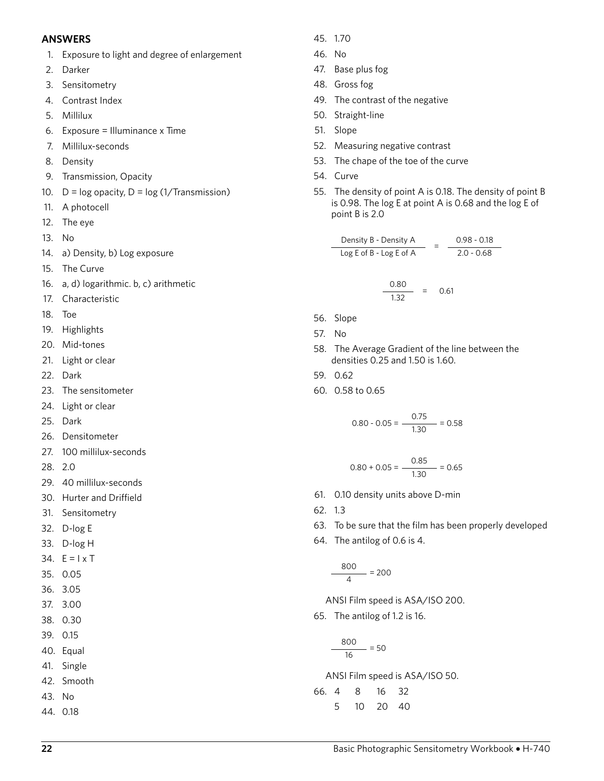#### **ANSWERS**

- 1. Exposure to light and degree of enlargement
- 2. Darker
- 3. Sensitometry
- 4. Contrast Index
- 5. Millilux
- 6. Exposure = Illuminance x Time
- 7. Millilux-seconds
- 8. Density
- 9. Transmission, Opacity
- 10.  $D = log$  opacity,  $D = log(1/Transmission)$
- 11. A photocell
- 12. The eye
- 13. No
- 14. a) Density, b) Log exposure
- 15. The Curve
- 16. a, d) logarithmic. b, c) arithmetic
- 17. Characteristic
- 18. Toe
- 19. Highlights
- 20. Mid-tones
- 21. Light or clear
- 22. Dark
- 23. The sensitometer
- 24. Light or clear
- 25. Dark
- 26. Densitometer
- 27. 100 millilux-seconds
- 28. 2.0
- 29. 40 millilux-seconds
- 30. Hurter and Driffield
- 31. Sensitometry
- 32. D-log E
- 33. D-log H
- 34.  $E = I \times T$
- 35. 0.05
- 36. 3.05
- 37. 3.00
- 38. 0.30
- 39. 0.15
- 40. Equal
- 41. Single
- 42. Smooth
- 43. No
- 44. 0.18
- 45. 1.70
- 46. No
- 47. Base plus fog
- 48. Gross fog
- 49. The contrast of the negative
- 50. Straight-line
- 51. Slope
- 52. Measuring negative contrast
- 53. The chape of the toe of the curve
- 54. Curve
- 55. The density of point A is 0.18. The density of point B is 0.98. The log E at point A is 0.68 and the log E of point B is 2.0

$$
\frac{\text{Density B - Density A}}{\text{Log E of B - Log E of A}} = \frac{0.98 - 0.18}{2.0 - 0.68}
$$

$$
\frac{0.80}{1.32} = 0.61
$$

- 56. Slope
- 57. No
- 58. The Average Gradient of the line between the densities 0.25 and 1.50 is 1.60.
- 59. 0.62
- 60. 0.58 to 0.65

$$
0.80 - 0.05 = \frac{0.75}{1.30} = 0.58
$$

$$
0.80 + 0.05 = \frac{0.85}{1.30} = 0.65
$$

- 61. 0.10 density units above D-min
- 62. 1.3
- 63. To be sure that the film has been properly developed
- 64. The antilog of 0.6 is 4.

$$
\frac{800}{4} = 200
$$

ANSI Film speed is ASA/ISO 200.

65. The antilog of 1.2 is 16.

$$
\frac{800}{16} = 50
$$

ANSI Film speed is ASA/ISO 50.

66. 4 8 16 32 5 10 20 40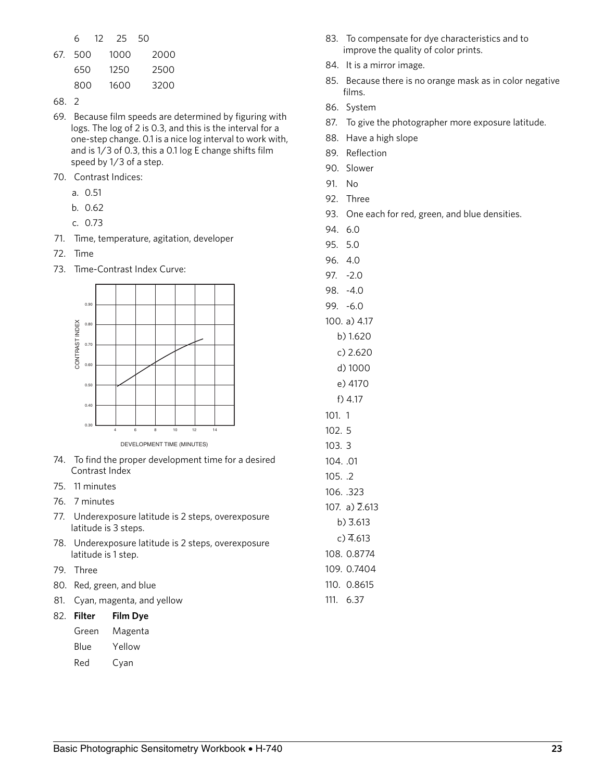|         | 6 12 25 50 |      |
|---------|------------|------|
| 67. 500 | 1000       | 2000 |
| 650     | 1250       | 2500 |
| 800     | 1600       | 3200 |

- 68. 2
- 69. Because film speeds are determined by figuring with logs. The log of 2 is 0.3, and this is the interval for a one-step change. 0.1 is a nice log interval to work with, and is 1/3 of 0.3, this a 0.1 log E change shifts film speed by 1/3 of a step.
- 70. Contrast Indices:
	- a. 0.51
	- b. 0.62
	- c. 0.73
- 71. Time, temperature, agitation, developer
- 72. Time
- 73. Time-Contrast Index Curve:



- 74. To find the proper development time for a desired Contrast Index
- 75. 11 minutes
- 76. 7 minutes
- 77. Underexposure latitude is 2 steps, overexposure latitude is 3 steps.
- 78. Underexposure latitude is 2 steps, overexposure latitude is 1 step.
- 79. Three
- 80. Red, green, and blue
- 81. Cyan, magenta, and yellow

82. **Filter Film Dye**

- Green Magenta
- Blue Yellow
- Red Cyan
- 83. To compensate for dye characteristics and to improve the quality of color prints.
- 84. It is a mirror image.
- 85. Because there is no orange mask as in color negative films.
- 86. System
- 87. To give the photographer more exposure latitude.
- 88. Have a high slope
- 89. Reflection
- 90. Slower
- 91. No
- 92. Three
- 93. One each for red, green, and blue densities.
- 94. 6.0
- 95. 5.0
- 96. 4.0
- 97. -2.0
- 98. -4.0
- 99. -6.0
- 100. a) 4.17
	- b) 1.620
	- c) 2.620
	- d) 1000 e) 4170
- f) 4.17
- 101. 1
- 102. 5
- 103. 3
- 104. .01
- 105. .2
- 106. .323 107. a)  $\overline{2}$ .613
- b) 3.613
- $c)$  4.613
- 108. 0.8774
- 109. 0.7404
- 110. 0.8615
- 111. 6.37